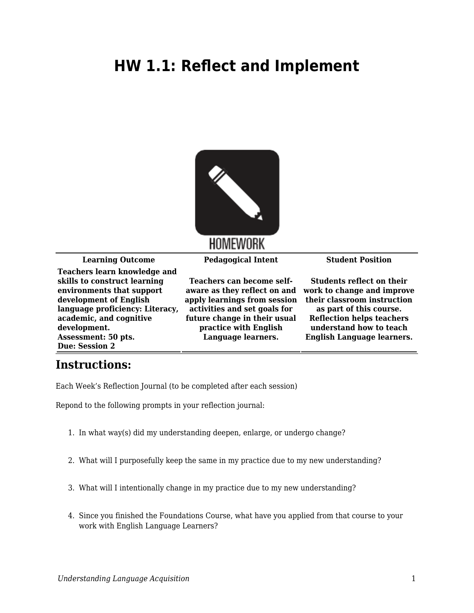## **HW 1.1: Reflect and Implement**



**Learning Outcome Pedagogical Intent Student Position**

**Teachers learn knowledge and skills to construct learning environments that support development of English language proficiency: Literacy, academic, and cognitive development. Assessment: 50 pts. Due: Session 2**

**Teachers can become selfaware as they reflect on and work to change and improve apply learnings from session activities and set goals for future change in their usual practice with English Language learners.**

**Students reflect on their their classroom instruction as part of this course. Reflection helps teachers understand how to teach English Language learners.**

## **Instructions:**

Each Week's Reflection Journal (to be completed after each session)

Repond to the following prompts in your reflection journal:

- 1. In what way(s) did my understanding deepen, enlarge, or undergo change?
- 2. What will I purposefully keep the same in my practice due to my new understanding?
- 3. What will I intentionally change in my practice due to my new understanding?
- 4. Since you finished the Foundations Course, what have you applied from that course to your work with English Language Learners?